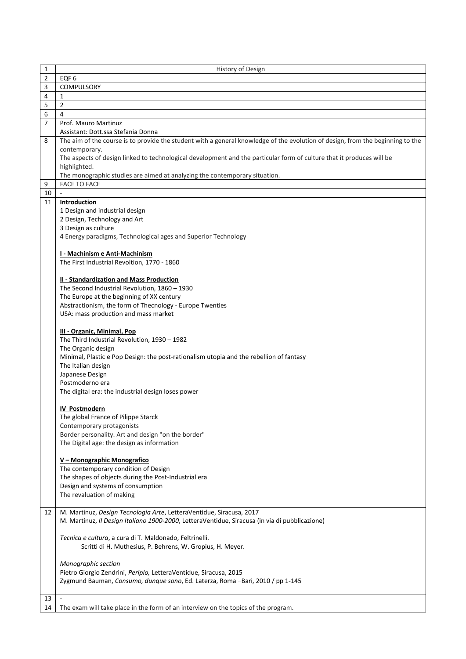| 1              | History of Design                                                                                                              |
|----------------|--------------------------------------------------------------------------------------------------------------------------------|
| $\overline{2}$ | EQF <sub>6</sub>                                                                                                               |
| 3              | COMPULSORY                                                                                                                     |
| 4              | 1                                                                                                                              |
| 5              | 2                                                                                                                              |
| 6              | 4                                                                                                                              |
| $\overline{7}$ | Prof. Mauro Martinuz                                                                                                           |
|                | Assistant: Dott.ssa Stefania Donna                                                                                             |
| 8              | The aim of the course is to provide the student with a general knowledge of the evolution of design, from the beginning to the |
|                | contemporary.                                                                                                                  |
|                | The aspects of design linked to technological development and the particular form of culture that it produces will be          |
|                | highlighted.                                                                                                                   |
|                | The monographic studies are aimed at analyzing the contemporary situation.                                                     |
| 9              | <b>FACE TO FACE</b>                                                                                                            |
| 10             |                                                                                                                                |
| 11             | Introduction                                                                                                                   |
|                |                                                                                                                                |
|                | 1 Design and industrial design                                                                                                 |
|                | 2 Design, Technology and Art                                                                                                   |
|                | 3 Design as culture                                                                                                            |
|                | 4 Energy paradigms, Technological ages and Superior Technology                                                                 |
|                |                                                                                                                                |
|                | I - Machinism e Anti-Machinism                                                                                                 |
|                | The First Industrial Revoltion, 1770 - 1860                                                                                    |
|                |                                                                                                                                |
|                | II - Standardization and Mass Production                                                                                       |
|                | The Second Industrial Revolution, 1860 - 1930                                                                                  |
|                | The Europe at the beginning of XX century                                                                                      |
|                | Abstractionism, the form of Thecnology - Europe Twenties                                                                       |
|                | USA: mass production and mass market                                                                                           |
|                | III - Organic, Minimal, Pop                                                                                                    |
|                |                                                                                                                                |
|                | The Third Industrial Revolution, 1930 - 1982                                                                                   |
|                | The Organic design                                                                                                             |
|                | Minimal, Plastic e Pop Design: the post-rationalism utopia and the rebellion of fantasy                                        |
|                | The Italian design                                                                                                             |
|                | Japanese Design                                                                                                                |
|                | Postmoderno era                                                                                                                |
|                | The digital era: the industrial design loses power                                                                             |
|                | <b>IV Postmodern</b>                                                                                                           |
|                | The global France of Pilippe Starck                                                                                            |
|                | Contemporary protagonists                                                                                                      |
|                | Border personality. Art and design "on the border"                                                                             |
|                | The Digital age: the design as information                                                                                     |
|                |                                                                                                                                |
|                | V - Monographic Monografico                                                                                                    |
|                | The contemporary condition of Design                                                                                           |
|                | The shapes of objects during the Post-Industrial era                                                                           |
|                | Design and systems of consumption                                                                                              |
|                | The revaluation of making                                                                                                      |
|                |                                                                                                                                |
| 12             | M. Martinuz, Design Tecnologia Arte, LetteraVentidue, Siracusa, 2017                                                           |
|                | M. Martinuz, Il Design Italiano 1900-2000, LetteraVentidue, Siracusa (in via di pubblicazione)                                 |
|                |                                                                                                                                |
|                | Tecnica e cultura, a cura di T. Maldonado, Feltrinelli.                                                                        |
|                | Scritti di H. Muthesius, P. Behrens, W. Gropius, H. Meyer.                                                                     |
|                |                                                                                                                                |
|                | Monographic section                                                                                                            |
|                | Pietro Giorgio Zendrini, Periplo, LetteraVentidue, Siracusa, 2015                                                              |
|                | Zygmund Bauman, Consumo, dunque sono, Ed. Laterza, Roma -Bari, 2010 / pp 1-145                                                 |
|                |                                                                                                                                |
| 13             | $\sim$                                                                                                                         |
| 14             | The exam will take place in the form of an interview on the topics of the program.                                             |
|                |                                                                                                                                |